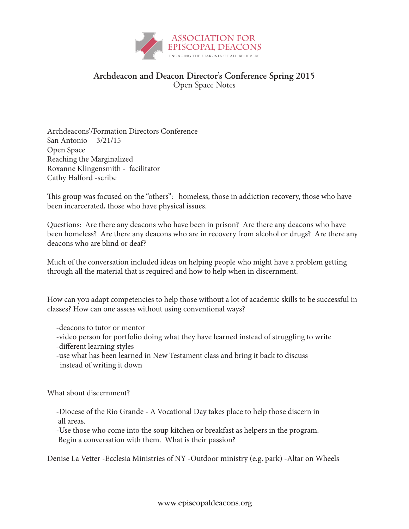

## **Archdeacon and Deacon Director's Conference Spring 2015** Open Space Notes

Archdeacons'/Formation Directors Conference San Antonio 3/21/15 Open Space Reaching the Marginalized Roxanne Klingensmith - facilitator Cathy Halford -scribe

This group was focused on the "others": homeless, those in addiction recovery, those who have been incarcerated, those who have physical issues.

Questions: Are there any deacons who have been in prison? Are there any deacons who have been homeless? Are there any deacons who are in recovery from alcohol or drugs? Are there any deacons who are blind or deaf?

Much of the conversation included ideas on helping people who might have a problem getting through all the material that is required and how to help when in discernment.

How can you adapt competencies to help those without a lot of academic skills to be successful in classes? How can one assess without using conventional ways?

- -deacons to tutor or mentor
- -video person for portfolio doing what they have learned instead of struggling to write -different learning styles
- -use what has been learned in New Testament class and bring it back to discuss instead of writing it down

What about discernment?

 -Diocese of the Rio Grande - A Vocational Day takes place to help those discern in all areas.

 -Use those who come into the soup kitchen or breakfast as helpers in the program. Begin a conversation with them. What is their passion?

Denise La Vetter -Ecclesia Ministries of NY -Outdoor ministry (e.g. park) -Altar on Wheels